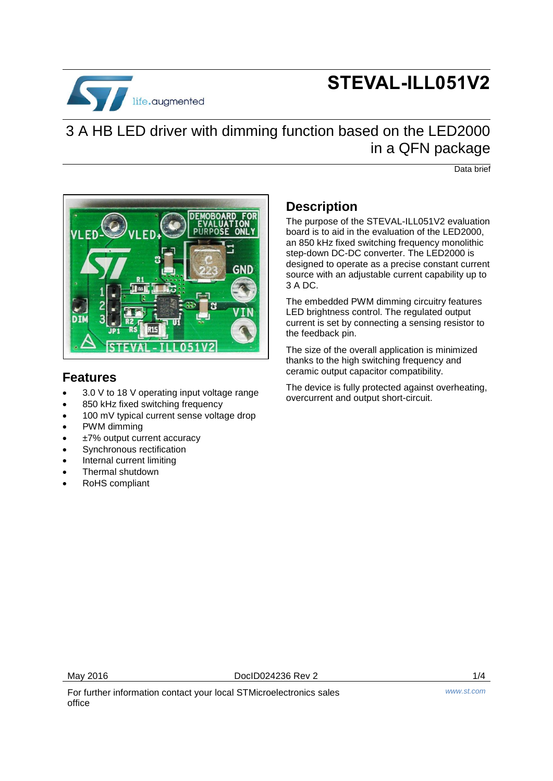# **STEVAL-ILL051V2**



### 3 A HB LED driver with dimming function based on the LED2000 in a QFN package

Data brief



### **Features**

- 3.0 V to 18 V operating input voltage range
- 850 kHz fixed switching frequency
- 100 mV typical current sense voltage drop
- PWM dimming
- ±7% output current accuracy
- Synchronous rectification
- Internal current limiting
- Thermal shutdown
- RoHS compliant

### **Description**

The purpose of the STEVAL-ILL051V2 evaluation board is to aid in the evaluation of the LED2000, an 850 kHz fixed switching frequency monolithic step-down DC-DC converter. The LED2000 is designed to operate as a precise constant current source with an adjustable current capability up to 3 A DC.

The embedded PWM dimming circuitry features LED brightness control. The regulated output current is set by connecting a sensing resistor to the feedback pin.

The size of the overall application is minimized thanks to the high switching frequency and ceramic output capacitor compatibility.

The device is fully protected against overheating, overcurrent and output short-circuit.

For further information contact your local STMicroelectronics sales office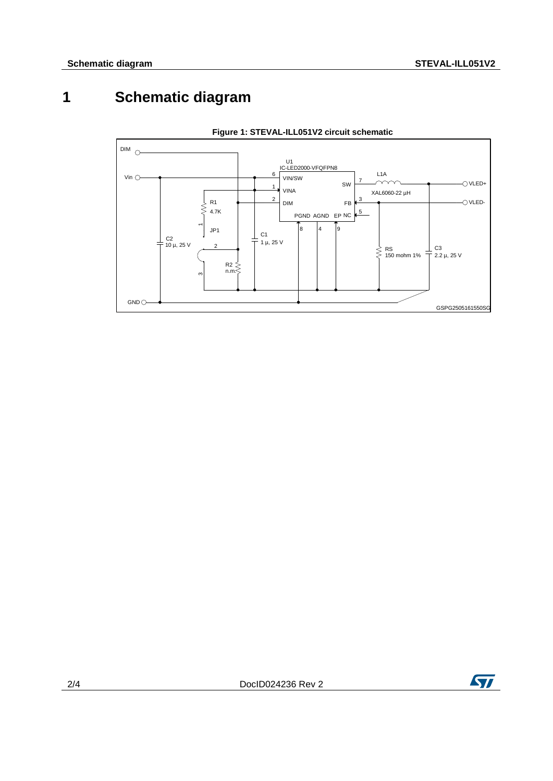## **1 Schematic diagram**



**Figure 1: STEVAL-ILL051V2 circuit schematic**

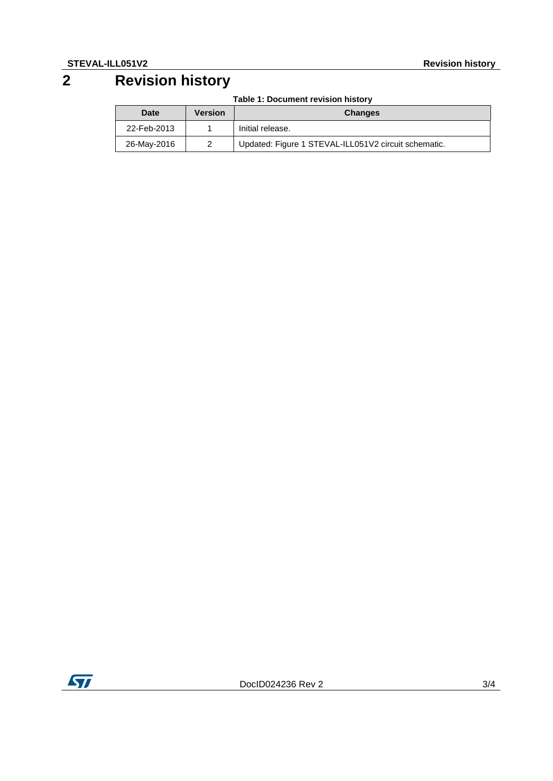## **2 Revision history**

**Table 1: Document revision history**

| Date        | Version | <b>Changes</b>                                       |
|-------------|---------|------------------------------------------------------|
| 22-Feb-2013 |         | Initial release.                                     |
| 26-May-2016 |         | Updated: Figure 1 STEVAL-ILL051V2 circuit schematic. |